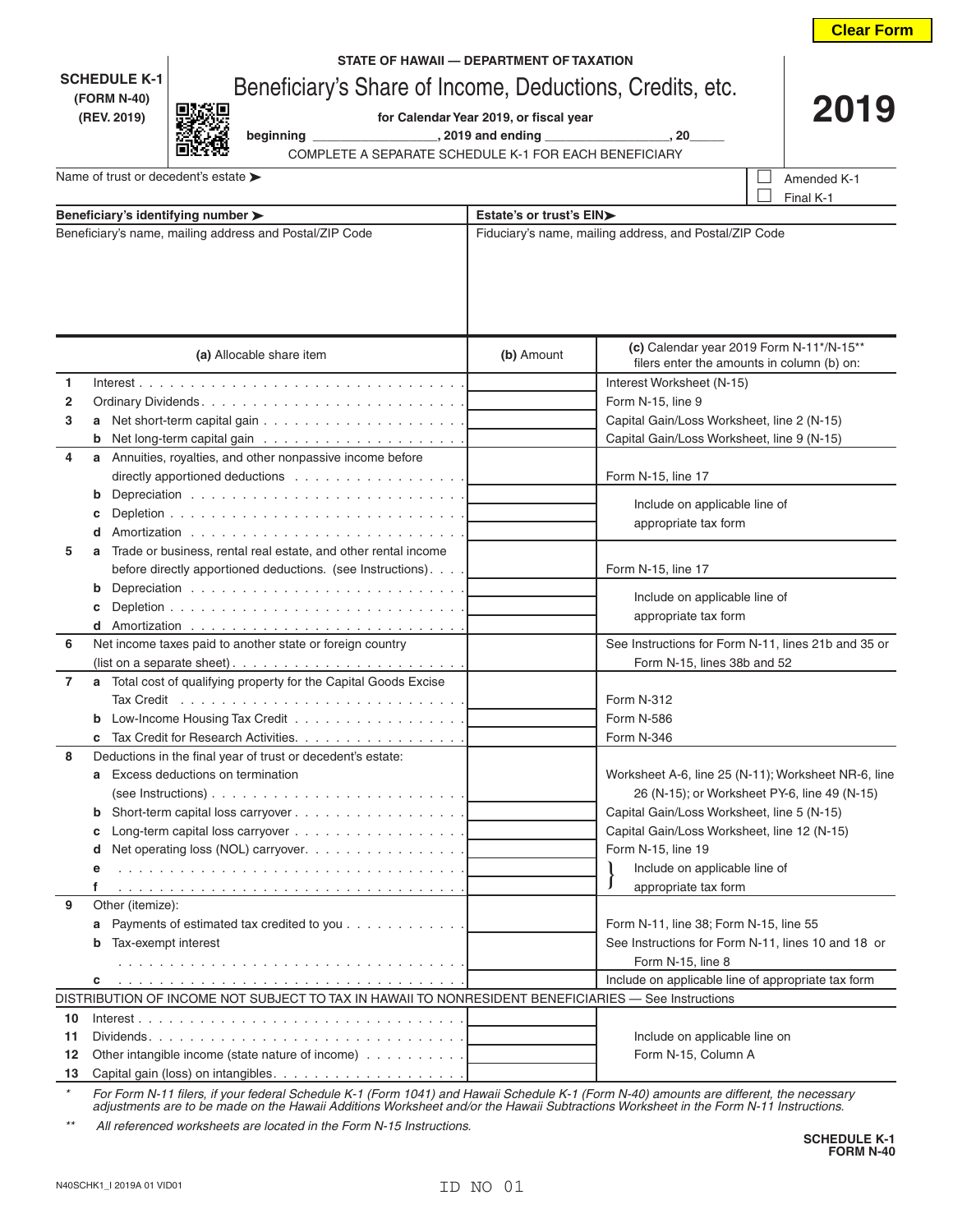|                          |                                                                                                                               |                                        |                                                                                        | <b>Clear Form</b>                                   |  |
|--------------------------|-------------------------------------------------------------------------------------------------------------------------------|----------------------------------------|----------------------------------------------------------------------------------------|-----------------------------------------------------|--|
|                          | STATE OF HAWAII - DEPARTMENT OF TAXATION                                                                                      |                                        |                                                                                        |                                                     |  |
|                          | <b>SCHEDULE K-1</b><br>Beneficiary's Share of Income, Deductions, Credits, etc.                                               |                                        |                                                                                        |                                                     |  |
|                          | (FORM N-40)                                                                                                                   | 2019                                   |                                                                                        |                                                     |  |
|                          | (REV. 2019)                                                                                                                   | for Calendar Year 2019, or fiscal year | beginning ___________________, 2019 and ending __________________, 20_                 |                                                     |  |
|                          | COMPLETE A SEPARATE SCHEDULE K-1 FOR EACH BENEFICIARY                                                                         |                                        |                                                                                        |                                                     |  |
|                          | Name of trust or decedent's estate >                                                                                          |                                        |                                                                                        | Amended K-1                                         |  |
|                          |                                                                                                                               |                                        |                                                                                        | Final K-1                                           |  |
|                          | Beneficiary's identifying number >                                                                                            | Estate's or trust's EIN>               |                                                                                        |                                                     |  |
|                          | Beneficiary's name, mailing address and Postal/ZIP Code                                                                       |                                        | Fiduciary's name, mailing address, and Postal/ZIP Code                                 |                                                     |  |
|                          |                                                                                                                               |                                        |                                                                                        |                                                     |  |
| (a) Allocable share item |                                                                                                                               | (b) Amount                             | (c) Calendar year 2019 Form N-11*/N-15**<br>filers enter the amounts in column (b) on: |                                                     |  |
| 1                        |                                                                                                                               |                                        | Interest Worksheet (N-15)                                                              |                                                     |  |
| 2                        |                                                                                                                               |                                        | Form N-15, line 9                                                                      |                                                     |  |
| 3                        |                                                                                                                               |                                        | Capital Gain/Loss Worksheet, line 2 (N-15)                                             |                                                     |  |
|                          |                                                                                                                               |                                        | Capital Gain/Loss Worksheet, line 9 (N-15)                                             |                                                     |  |
| 4                        | Annuities, royalties, and other nonpassive income before<br>a                                                                 |                                        |                                                                                        |                                                     |  |
|                          | directly apportioned deductions $\ldots \ldots \ldots \ldots \ldots$                                                          |                                        | Form N-15, line 17                                                                     |                                                     |  |
|                          | b                                                                                                                             |                                        | Include on applicable line of                                                          |                                                     |  |
|                          |                                                                                                                               |                                        | appropriate tax form                                                                   |                                                     |  |
|                          | d                                                                                                                             |                                        |                                                                                        |                                                     |  |
| 5                        | Trade or business, rental real estate, and other rental income<br>before directly apportioned deductions. (see Instructions). |                                        | Form N-15, line 17                                                                     |                                                     |  |
|                          | b                                                                                                                             |                                        |                                                                                        |                                                     |  |
|                          |                                                                                                                               |                                        | Include on applicable line of                                                          |                                                     |  |
|                          |                                                                                                                               |                                        | appropriate tax form                                                                   |                                                     |  |
| 6                        | Net income taxes paid to another state or foreign country                                                                     |                                        |                                                                                        | See Instructions for Form N-11, lines 21b and 35 or |  |
|                          | (list on a separate sheet). $\ldots \ldots \ldots \ldots \ldots \ldots \ldots$                                                |                                        | Form N-15, lines 38b and 52                                                            |                                                     |  |
| 7                        | a Total cost of qualifying property for the Capital Goods Excise                                                              |                                        |                                                                                        |                                                     |  |
|                          |                                                                                                                               |                                        | Form N-312                                                                             |                                                     |  |
|                          | <b>b</b> Low-Income Housing Tax Credit                                                                                        |                                        | Form N-586                                                                             |                                                     |  |
|                          | Tax Credit for Research Activities.                                                                                           |                                        | Form N-346                                                                             |                                                     |  |
| 8                        | Deductions in the final year of trust or decedent's estate:                                                                   |                                        |                                                                                        |                                                     |  |
|                          | Excess deductions on termination<br>a                                                                                         |                                        |                                                                                        | Worksheet A-6, line 25 (N-11); Worksheet NR-6, line |  |
|                          |                                                                                                                               |                                        |                                                                                        | 26 (N-15); or Worksheet PY-6, line 49 (N-15)        |  |
|                          | b                                                                                                                             |                                        | Capital Gain/Loss Worksheet, line 5 (N-15)                                             |                                                     |  |
|                          | c                                                                                                                             |                                        | Capital Gain/Loss Worksheet, line 12 (N-15)                                            |                                                     |  |
|                          | Net operating loss (NOL) carryover.<br>d                                                                                      |                                        | Form N-15, line 19                                                                     |                                                     |  |
|                          | е                                                                                                                             |                                        | Include on applicable line of<br>appropriate tax form                                  |                                                     |  |
| 9                        | f<br>Other (itemize):                                                                                                         |                                        |                                                                                        |                                                     |  |
|                          | Payments of estimated tax credited to you                                                                                     |                                        | Form N-11, line 38; Form N-15, line 55                                                 |                                                     |  |
|                          | а<br>Tax-exempt interest<br>b                                                                                                 |                                        |                                                                                        | See Instructions for Form N-11, lines 10 and 18 or  |  |
|                          |                                                                                                                               |                                        | Form N-15, line 8                                                                      |                                                     |  |
|                          | c                                                                                                                             |                                        |                                                                                        | Include on applicable line of appropriate tax form  |  |
|                          | DISTRIBUTION OF INCOME NOT SUBJECT TO TAX IN HAWAII TO NONRESIDENT BENEFICIARIES - See Instructions                           |                                        |                                                                                        |                                                     |  |
| 10                       |                                                                                                                               |                                        |                                                                                        |                                                     |  |
| 11                       | $Dividends. \ldots \ldots \ldots \ldots \ldots \ldots \ldots \ldots \ldots \ldots$                                            |                                        | Include on applicable line on                                                          |                                                     |  |
| 12                       | Other intangible income (state nature of income)                                                                              |                                        | Form N-15, Column A                                                                    |                                                     |  |
| 13                       |                                                                                                                               |                                        |                                                                                        |                                                     |  |

*\* For Form N-11 filers, if your federal Schedule K-1 (Form 1041) and Hawaii Schedule K-1 (Form N-40) amounts are different, the necessary adjustments are to be made on the Hawaii Additions Worksheet and/or the Hawaii Subtractions Worksheet in the Form N-11 Instructions.*

*\*\* All referenced worksheets are located in the Form N-15 Instructions.*